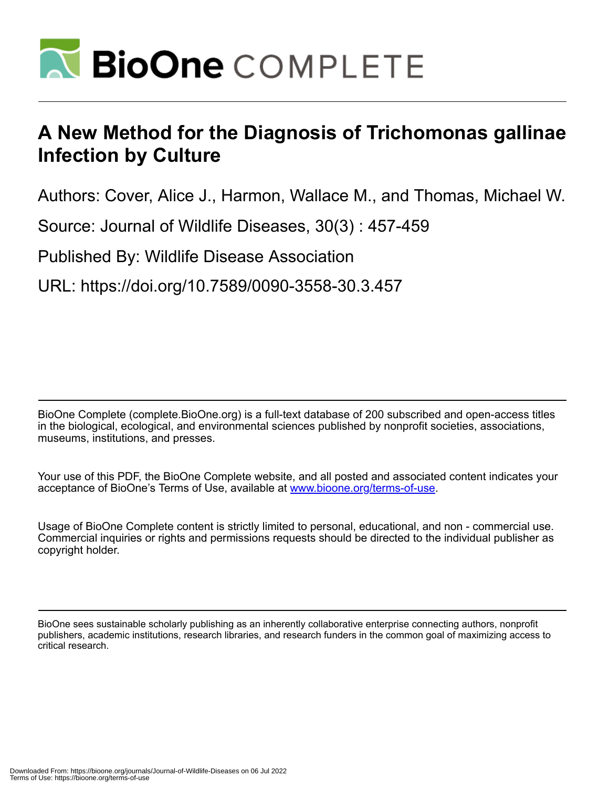

## **A New Method for the Diagnosis of Trichomonas gallinae Infection by Culture**

Authors: Cover, Alice J., Harmon, Wallace M., and Thomas, Michael W.

Source: Journal of Wildlife Diseases, 30(3) : 457-459

Published By: Wildlife Disease Association

URL: https://doi.org/10.7589/0090-3558-30.3.457

BioOne Complete (complete.BioOne.org) is a full-text database of 200 subscribed and open-access titles in the biological, ecological, and environmental sciences published by nonprofit societies, associations, museums, institutions, and presses.

Your use of this PDF, the BioOne Complete website, and all posted and associated content indicates your acceptance of BioOne's Terms of Use, available at www.bioone.org/terms-of-use.

Usage of BioOne Complete content is strictly limited to personal, educational, and non - commercial use. Commercial inquiries or rights and permissions requests should be directed to the individual publisher as copyright holder.

BioOne sees sustainable scholarly publishing as an inherently collaborative enterprise connecting authors, nonprofit publishers, academic institutions, research libraries, and research funders in the common goal of maximizing access to critical research.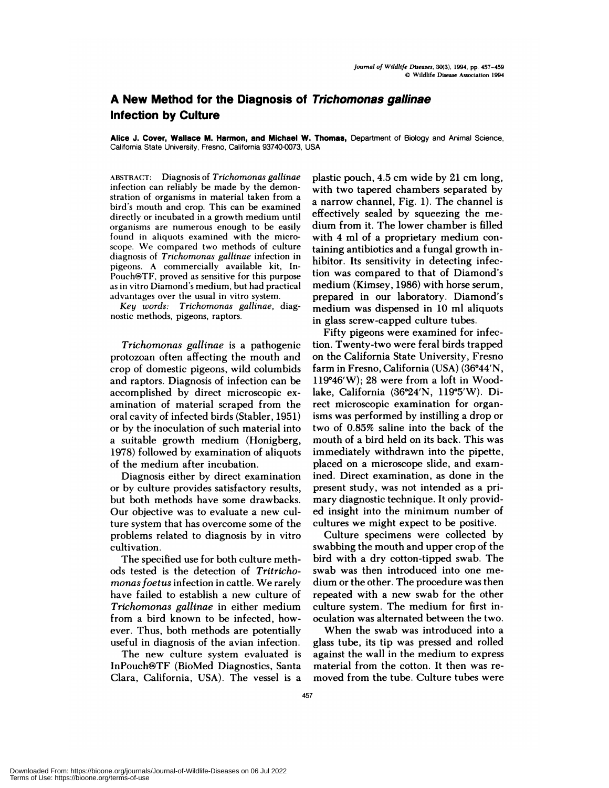## **A New Method for the Diagnosis of Trichomonas gallinae Infection by Culture**

**Alice J. Cover, Wallace M. Harmon, and Michael W. Thomas,** Department of Biology and Animal Science, California State University, Fresno, California 93740-0073, USA

ABSTRACT: Diagnosis of *Trichomonas gallinae* infection can reliably be made by the demon stration of organisms in material taken from abird's mouth and crop. This can be examined directly or incubated in a growth medium until organisms are numerous enough to be easily found in aliquots examined with the micro scope. We compared two methods of culture diagnosis of *Trichomonas gallinae* infection in pigeons. A commercially available kit, In-  $Pouch@TF$ , proved as sensitive for this purpose as in vitro Diamond's medium, but had practical advantages over the usual in vitro system.

*Key words: Trichomonas gallinae,* diag nostic methods, pigeons, raptors.

*Trichomonas gallinae* is a pathogenic protozoan often affecting the mouth and crop of domestic pigeons, wild columbids and raptors. Diagnosis of infection can be accomplished by direct microscopic ex amination of material scraped from the oral cavity of infected birds (Stabler, 1951) or by the inoculation of such material into a suitable growth medium (Honigberg, 1978) followed by examination of aliquots of the medium after incubation.

Diagnosis either by direct examination or by culture provides satisfactory results, but both methods have some drawbacks. Our objective was to evaluate a new culture system that has overcome some of the problems related to diagnosis by in vitro cultivation.

The specified use for both culture methods tested is the detection of *Tritrichomonasfoetus* infection in cattle. We rarely have failed to establish a new culture of *Trichomonas gallinae* in either medium from a bird known to be infected, how ever. Thus, both methods are potentially useful in diagnosis of the avian infection.

The new culture system evaluated is InPouch&TF (BioMed Diagnostics, Santa Clara, California, USA). The vessel is a plastic pouch, 4.5 cm wide by 21 cm long, with two tapered chambers separated by a narrow channel, Fig. 1). The channel is effectively sealed by squeezing the me dium from it. The lower chamber is filled with 4 ml of a proprietary medium containing antibiotics and a fungal growth inhibitor. Its sensitivity in detecting infection was compared to that of Diamond's medium (Kimsey, 1986) with horse serum, prepared in our laboratory. Diamond's medium was dispensed in 10 ml aliquots in glass screw-capped culture tubes.

Fifty pigeons were examined for infection. Twenty-two were feral birds trapped on the California State University, Fresno farm in Fresno, California (USA) (36°44'N, 119°46'W); 28 were from a loft in Woodlake, California (36°24'N, 119°5'W). Direct microscopic examination for organisms was performed by instilling a drop on two of 0.85% saline into the back of the mouth of a bird held on its back. This was immediately withdrawn into the pipette, placed on a microscope slide, and exam ined. Direct examination, as done in the present study, was not intended as a primary diagnostic technique. It only provided insight into the minimum number of cultures we might expect to be positive.

Culture specimens were collected by swabbing the mouth and upper crop of the bird with a dry cotton-tipped swab. The swab was then introduced into one me dium or the other. The procedure was then repeated with a new swab for the other culture system. The medium for first inoculation was alternated between the two.

When the swab was introduced into a glass tube, its tip was pressed and rolled against the wall in the medium to express material from the cotton. It then was re moved from the tube. Culture tubes were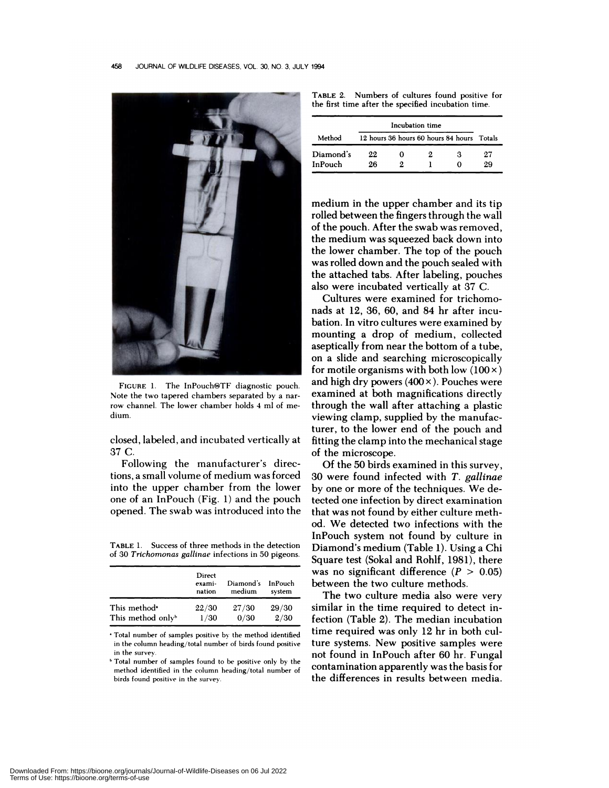

FIGURE 1. The InPouch<sup>®TF</sup> diagnostic pouch. Note the two tapered chambers separated by a narrow channel. The lower chamber holds 4 mlof me dium.

closed, !abe!ed, and incubated vertically at 37C.

Following the manufacturer's directions, a smal! volume of medium was forced into the upper chamber from the lower one of an InPouch (Fig. 1) and the pouch opened. The swab was introduced into the

**TABLE** 1. Success of three methods in the detection of 30 *Trichomonas gallinae* infections in 50 pigeons.

Total number of samples positive by the method identified in the column heading/total number of birds found positive in the survey.

Total number of samples found to be positive only by the method identified in the column heading/total number of birds found positive in the survey.

TABLE 2. Numbers of cultures found positive for the first time after the specified incubation time.

|           | Incubation time                            |   |    |   |    |
|-----------|--------------------------------------------|---|----|---|----|
| Method    | 12 hours 36 hours 60 hours 84 hours Totals |   |    |   |    |
| Diamond's | 22                                         | 0 | 2. | з | 27 |
| InPouch   | 26                                         |   |    |   | 29 |

medium in the upper chamber and its tip rolled between the fingers through the wall of the pouch. After the swab was removed, the medium was squeezed back down into the lower chamber. The top of the pouch was rolled down and the pouch sealed with the attached tabs. After labeling, pouches also were incubated vertically at 37 C.

Cultures were examined for trichomonads at 12, 36, 60, and 84 hr after incubation. In vitro cultures were examined by mounting a drop of medium, collected aseptically from near the bottom of a tube, on a slide and searching microscopically for motile organisms with both low  $(100 \times)$ and high dry powers (400 x **).** Pouches were examined at both magnifications directly through the wall after attaching a plastic viewing clamp, supplied by the manufacturer, to the lower end of the pouch and fitting the clamp into the mechanical stage of the microscope.

Of the 50 birds examined in this survey, 30 were found infected with *T. gallinae* by one or more of the techniques. We detected one infection by direct examination that was not found by either culture method. We detected two infections with the InPouch system not found by culture in Diamond's medium (Table 1). Using a Chi Square test (Sokal and Rohlf, 1981), there was no significant difference  $(P > 0.05)$ between the two culture methods.

The two culture media also were very similar in the time required to detect infection (Table 2). The median incubation time required was only 12 hr in both cu! tune systems. New positive samples were not found in InPouch after 60 hr. Fungal contamination apparently was the basis for the differences in results between media.